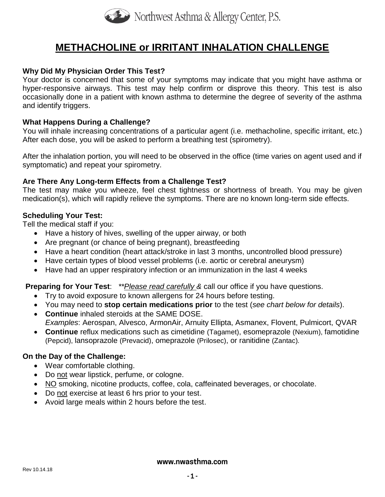

# **METHACHOLINE or IRRITANT INHALATION CHALLENGE**

## **Why Did My Physician Order This Test?**

Your doctor is concerned that some of your symptoms may indicate that you might have asthma or hyper-responsive airways. This test may help confirm or disprove this theory. This test is also occasionally done in a patient with known asthma to determine the degree of severity of the asthma and identify triggers.

#### **What Happens During a Challenge?**

You will inhale increasing concentrations of a particular agent (i.e. methacholine, specific irritant, etc.) After each dose, you will be asked to perform a breathing test (spirometry).

After the inhalation portion, you will need to be observed in the office (time varies on agent used and if symptomatic) and repeat your spirometry.

#### **Are There Any Long-term Effects from a Challenge Test?**

The test may make you wheeze, feel chest tightness or shortness of breath. You may be given medication(s), which will rapidly relieve the symptoms. There are no known long-term side effects.

## **Scheduling Your Test:**

Tell the medical staff if you:

- Have a history of hives, swelling of the upper airway, or both
- Are pregnant (or chance of being pregnant), breastfeeding
- Have a heart condition (heart attack/stroke in last 3 months, uncontrolled blood pressure)
- Have certain types of blood vessel problems (i.e. aortic or cerebral aneurysm)
- Have had an upper respiratory infection or an immunization in the last 4 weeks

## **Preparing for Your Test**: *\*\*Please read carefully &* call our office if you have questions.

- Try to avoid exposure to known allergens for 24 hours before testing.
- You may need to **stop certain medications prior** to the test (*see chart below for details*).
- **Continue** inhaled steroids at the SAME DOSE. *Examples*: Aerospan, Alvesco, ArmonAir, Arnuity Ellipta, Asmanex, Flovent, Pulmicort, QVAR
- **Continue** reflux medications such as cimetidine (Tagamet), esomeprazole (Nexium), famotidine (Pepcid), lansoprazole (Prevacid), omeprazole (Prilosec), or ranitidine (Zantac).

## **On the Day of the Challenge:**

- Wear comfortable clothing.
- Do not wear lipstick, perfume, or cologne.
- NO smoking, nicotine products, coffee, cola, caffeinated beverages, or chocolate.
- Do not exercise at least 6 hrs prior to your test.
- Avoid large meals within 2 hours before the test.

#### **www.nwasthma.com**